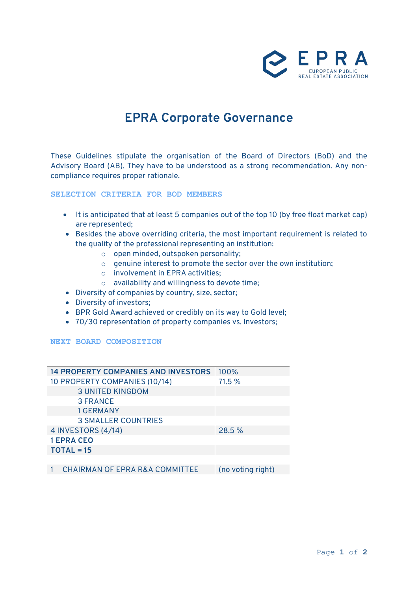

# **EPRA Corporate Governance**

These Guidelines stipulate the organisation of the Board of Directors (BoD) and the Advisory Board (AB). They have to be understood as a strong recommendation. Any noncompliance requires proper rationale.

**SELECTION CRITERIA FOR BOD MEMBERS**

- It is anticipated that at least 5 companies out of the top 10 (by free float market cap) are represented;
- Besides the above overriding criteria, the most important requirement is related to the quality of the professional representing an institution:
	- o open minded, outspoken personality;
	- o genuine interest to promote the sector over the own institution;
	- o involvement in EPRA activities;
	- o availability and willingness to devote time;
- Diversity of companies by country, size, sector;
- Diversity of investors;
- BPR Gold Award achieved or credibly on its way to Gold level;
- 70/30 representation of property companies vs. Investors;

## **NEXT BOARD COMPOSITION**

| <b>14 PROPERTY COMPANIES AND INVESTORS</b> | 100%              |
|--------------------------------------------|-------------------|
| 10 PROPERTY COMPANIES (10/14)              | 71.5 %            |
| <b>3 UNITED KINGDOM</b>                    |                   |
| <b>3 FRANCE</b>                            |                   |
| <b>1 GERMANY</b>                           |                   |
| <b>3 SMALLER COUNTRIES</b>                 |                   |
| 4 INVESTORS (4/14)                         | 28.5 %            |
| <b>1 EPRA CEO</b>                          |                   |
| $TOTAL = 15$                               |                   |
|                                            |                   |
| <b>CHAIRMAN OF EPRA R&amp;A COMMITTEE</b>  | (no voting right) |